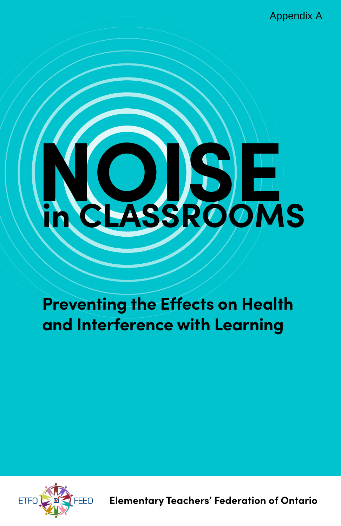Appendix A

# **NOISE in CLASSROOMS**

**Preventing the Effects on Health and Interference with Learning**



**Elementary Teachers' Federation of Ontario**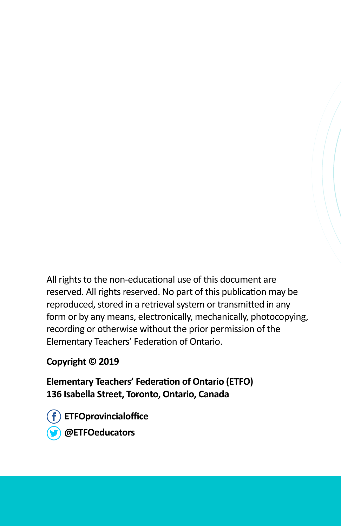All rights to the non-educational use of this document are reserved. All rights reserved. No part of this publication may be reproduced, stored in a retrieval system or transmitted in any form or by any means, electronically, mechanically, photocopying, recording or otherwise without the prior permission of the Elementary Teachers' Federation of Ontario.

**Copyright © 2019**

**Elementary Teachers' Federation of Ontario (ETFO) 136 Isabella Street, Toronto, Ontario, Canada**

**ETFOprovincialoffice @ETFOeducators**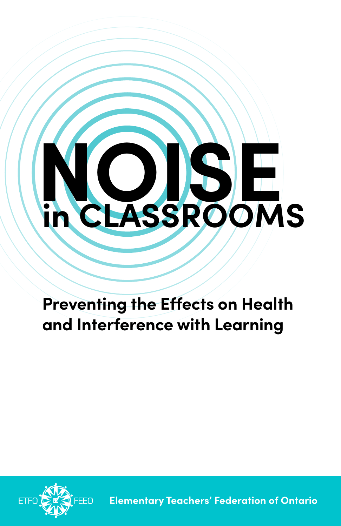

## **Preventing the Effects on Health and Interference with Learning**



**Elementary Teachers' Federation of Ontario**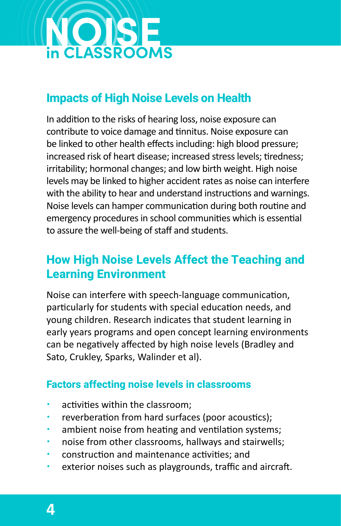

## **Impacts of High Noise Levels on Health**

In addition to the risks of hearing loss, noise exposure can contribute to voice damage and tinnitus. Noise exposure can be linked to other health effects including: high blood pressure; increased risk of heart disease; increased stress levels; tiredness; irritability; hormonal changes; and low birth weight. High noise levels may be linked to higher accident rates as noise can interfere with the ability to hear and understand instructions and warnings. Noise levels can hamper communication during both routine and emergency procedures in school communities which is essential to assure the well-being of staff and students.

## **How High Noise Levels Affect the Teaching and Learning Environment**

Noise can interfere with speech-language communication, particularly for students with special education needs, and young children. Research indicates that student learning in early years programs and open concept learning environments can be negatively affected by high noise levels (Bradley and Sato, Crukley, Sparks, Walinder et al).

#### **Factors affecting noise levels in classrooms**

- activities within the classroom;
- reverberation from hard surfaces (poor acoustics);
- ambient noise from heating and ventilation systems;
- noise from other classrooms, hallways and stairwells;
- construction and maintenance activities; and
- exterior noises such as playgrounds, traffic and aircraft.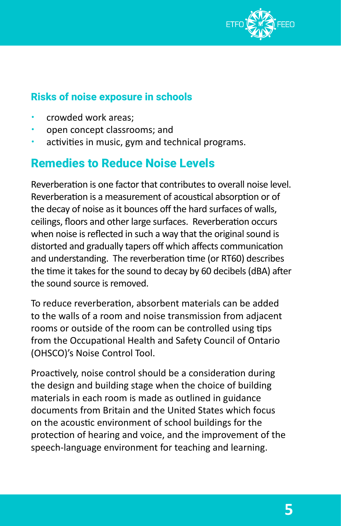

#### **Risks of noise exposure in schools**

- x crowded work areas;
- open concept classrooms; and
- activities in music, gym and technical programs.

## **Remedies to Reduce Noise Levels**

Reverberation is one factor that contributes to overall noise level. Reverberation is a measurement of acoustical absorption or of the decay of noise as it bounces off the hard surfaces of walls, ceilings, floors and other large surfaces. Reverberation occurs when noise is reflected in such a way that the original sound is distorted and gradually tapers off which affects communication and understanding. The reverberation time (or RT60) describes the time it takes for the sound to decay by 60 decibels (dBA) after the sound source is removed.

To reduce reverberation, absorbent materials can be added to the walls of a room and noise transmission from adjacent rooms or outside of the room can be controlled using tips from the Occupational Health and Safety Council of Ontario (OHSCO)'s Noise Control Tool.

Proactively, noise control should be a consideration during the design and building stage when the choice of building materials in each room is made as outlined in guidance documents from Britain and the United States which focus on the acoustic environment of school buildings for the protection of hearing and voice, and the improvement of the speech-language environment for teaching and learning.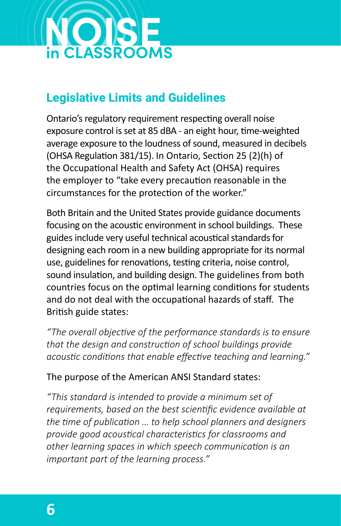

## **Legislative Limits and Guidelines**

Ontario's regulatory requirement respecting overall noise exposure control is set at 85 dBA - an eight hour, time-weighted average exposure to the loudness of sound, measured in decibels (OHSA Regulation 381/15). In Ontario, Section 25 (2)(h) of the Occupational Health and Safety Act (OHSA) requires the employer to "take every precaution reasonable in the circumstances for the protection of the worker."

Both Britain and the United States provide guidance documents focusing on the acoustic environment in school buildings. These guides include very useful technical acoustical standards for designing each room in a new building appropriate for its normal use, guidelines for renovations, testing criteria, noise control, sound insulation, and building design. The guidelines from both countries focus on the optimal learning conditions for students and do not deal with the occupational hazards of staff. The British guide states:

*"The overall objective of the performance standards is to ensure that the design and construction of school buildings provide acoustic conditions that enable effective teaching and learning."*

#### The purpose of the American ANSI Standard states:

*"This standard is intended to provide a minimum set of requirements, based on the best scientific evidence available at the time of publication … to help school planners and designers provide good acoustical characteristics for classrooms and other learning spaces in which speech communication is an important part of the learning process."*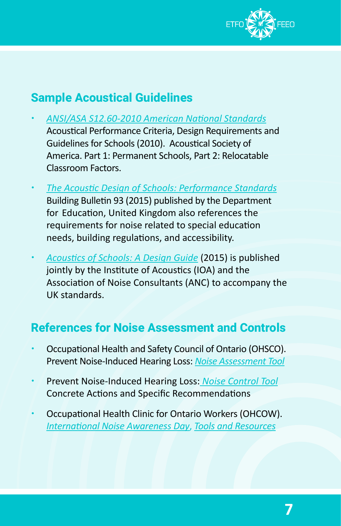

## **Sample Acoustical Guidelines**

- x *[ANSI/ASA S12.60-2010 American National Standards](http://ioa.org.uk/sites/default/files/Acoustics%20of%20Schools%20-%20a%20design%20guide%20November%202015_1.pdf)* [Acoustical Performance Criteria, Design Requirements and](http://acousticalsociety.org/classroom-acoustics/ )  [Guidelines for Schools \(2010\)](http://acousticalsociety.org/classroom-acoustics/ ). Acoustical Society of America. Part 1: Permanent Schools, Part 2: Relocatable Classroom Factors.
- x *[The Acoustic Design of Schools: Performance Standards](https://assets.publishing.service.gov.uk/government/uploads/system/uploads/attachment_data/file/400784/BB93_February_2015.pdf)* [Building Bulletin 93](http://assets.publishing.service.gov.uk/government/uploads/system/uploads/attachment_data/file/400784/BB93_February_2015.pdf) (2015) published by the Department for Education, United Kingdom also references the requirements for noise related to special education needs, building regulations, and accessibility.
- x *[Acoustics of Schools: A Design Guide](http://ioa.org.uk/sites/default/files/Acoustics%20of%20Schools%20-%20a%20design%20guide%20November%202015_1.pdf)* (2015) is published jointly by the Institute of Acoustics (IOA) and the Association of Noise Consultants (ANC) to accompany the UK standards.

## **References for Noise Assessment and Controls**

- Occupational Health and Safety Council of Ontario (OHSCO). Prevent Noise-Induced Hearing Loss: *[Noise Assessment Tool](http://pshsa.ca/wp-content/uploads/2015/09/NoiseAssessmentProceduresResourceMaterials.pdf)*
- x Prevent Noise-Induced Hearing Loss: *[Noise Control Tool](https://www.pshsa.ca/wp-content/uploads/2015/09/NoiseControl.pdf)* [Concrete Actions and Specific Recommendations](http://pshsa.ca/wp-content/uploads/2015/09/NoiseControl.pdf)
- Occupational Health Clinic for Ontario Workers (OHCOW). *[International Noise Awareness Day](http://ohcow.on.ca/avoidnoise/index.html)*, *[Tools and Resources](http://ohcow.on.ca/tools-and-resources-nihl.html)*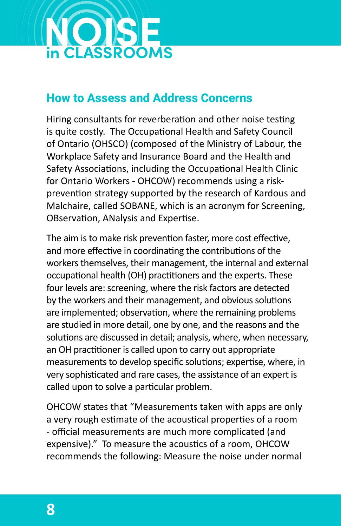

### **How to Assess and Address Concerns**

Hiring consultants for reverberation and other noise testing is quite costly. The Occupational Health and Safety Council of Ontario (OHSCO) (composed of the Ministry of Labour, the Workplace Safety and Insurance Board and the Health and Safety Associations, including the Occupational Health Clinic for Ontario Workers - OHCOW) recommends using a riskprevention strategy supported by the research of Kardous and Malchaire, called SOBANE, which is an acronym for Screening, OBservation, ANalysis and Expertise.

The aim is to make risk prevention faster, more cost effective, and more effective in coordinating the contributions of the workers themselves, their management, the internal and external occupational health (OH) practitioners and the experts. These four levels are: screening, where the risk factors are detected by the workers and their management, and obvious solutions are implemented; observation, where the remaining problems are studied in more detail, one by one, and the reasons and the solutions are discussed in detail; analysis, where, when necessary, an OH practitioner is called upon to carry out appropriate measurements to develop specific solutions; expertise, where, in very sophisticated and rare cases, the assistance of an expert is called upon to solve a particular problem.

OHCOW states that "Measurements taken with apps are only a very rough estimate of the acoustical properties of a room - official measurements are much more complicated (and expensive)." To measure the acoustics of a room, OHCOW recommends the following: Measure the noise under normal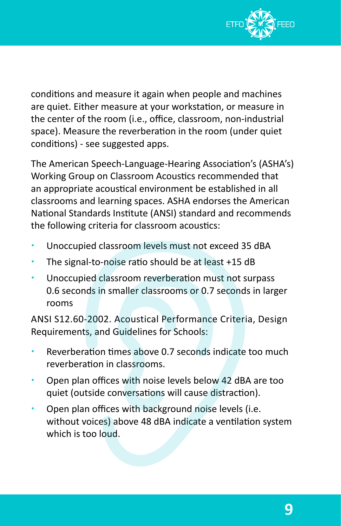

conditions and measure it again when people and machines are quiet. Either measure at your workstation, or measure in the center of the room (i.e., office, classroom, non-industrial space). Measure the reverberation in the room (under quiet conditions) - see suggested apps.

The American Speech-Language-Hearing Association's (ASHA's) Working Group on Classroom Acoustics recommended that an appropriate acoustical environment be established in all classrooms and learning spaces. ASHA endorses the American National Standards Institute (ANSI) standard and recommends the following criteria for classroom acoustics:

- Unoccupied classroom levels must not exceed 35 dBA
- The signal-to-noise ratio should be at least +15 dB
- Unoccupied classroom reverberation must not surpass 0.6 seconds in smaller classrooms or 0.7 seconds in larger rooms

ANSI S12.60‐2002. Acoustical Performance Criteria, Design Requirements, and Guidelines for Schools:

- Reverberation times above 0.7 seconds indicate too much reverberation in classrooms.
- Open plan offices with noise levels below 42 dBA are too quiet (outside conversations will cause distraction).
- Open plan offices with background noise levels (i.e. without voices) above 48 dBA indicate a ventilation system which is too loud.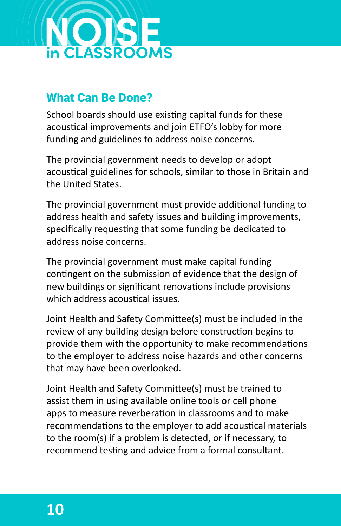

## **What Can Be Done?**

School boards should use existing capital funds for these acoustical improvements and join ETFO's lobby for more funding and guidelines to address noise concerns.

The provincial government needs to develop or adopt acoustical guidelines for schools, similar to those in Britain and the United States.

The provincial government must provide additional funding to address health and safety issues and building improvements, specifically requesting that some funding be dedicated to address noise concerns.

The provincial government must make capital funding contingent on the submission of evidence that the design of new buildings or significant renovations include provisions which address acoustical issues.

Joint Health and Safety Committee(s) must be included in the review of any building design before construction begins to provide them with the opportunity to make recommendations to the employer to address noise hazards and other concerns that may have been overlooked.

Joint Health and Safety Committee(s) must be trained to assist them in using available online tools or cell phone apps to measure reverberation in classrooms and to make recommendations to the employer to add acoustical materials to the room(s) if a problem is detected, or if necessary, to recommend testing and advice from a formal consultant.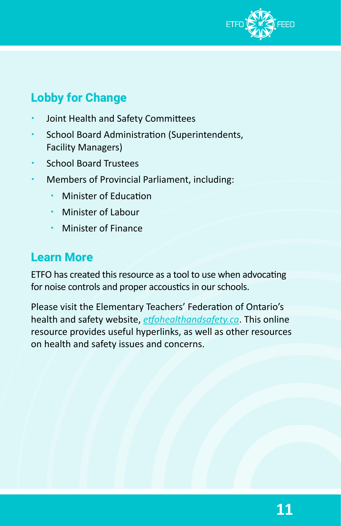

## **Lobby for Change**

- Joint Health and Safety Committees
- School Board Administration (Superintendents, Facility Managers)
- School Board Trustees
- Members of Provincial Parliament, including:
	- Minister of Education
	- x Minister of Labour
	- **\*** Minister of Finance

## **Learn More**

ETFO has created this resource as a tool to use when advocating for noise controls and proper accoustics in our schools.

Please visit the Elementary Teachers' Federation of Ontario's health and safety website, *[etfohealthandsafety.ca](http://etfohealthandsafety.ca)*. This online resource provides useful hyperlinks, as well as other resources on health and safety issues and concerns.